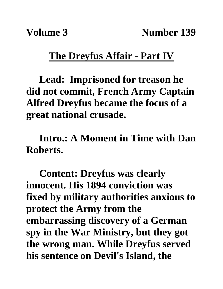**Volume 3** Number 139

## **The Dreyfus Affair - Part IV**

**Lead: Imprisoned for treason he did not commit, French Army Captain Alfred Dreyfus became the focus of a great national crusade.**

**Intro.: A Moment in Time with Dan Roberts.**

**Content: Dreyfus was clearly innocent. His 1894 conviction was fixed by military authorities anxious to protect the Army from the embarrassing discovery of a German spy in the War Ministry, but they got the wrong man. While Dreyfus served his sentence on Devil's Island, the**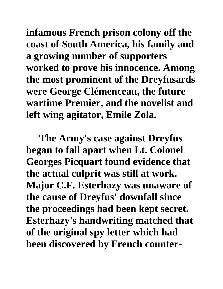**infamous French prison colony off the coast of South America, his family and a growing number of supporters worked to prove his innocence. Among the most prominent of the Dreyfusards were George Clémenceau, the future wartime Premier, and the novelist and left wing agitator, Emile Zola.** 

**The Army's case against Dreyfus began to fall apart when Lt. Colonel Georges Picquart found evidence that the actual culprit was still at work. Major C.F. Esterhazy was unaware of the cause of Dreyfus' downfall since the proceedings had been kept secret. Esterhazy's handwriting matched that of the original spy letter which had been discovered by French counter-**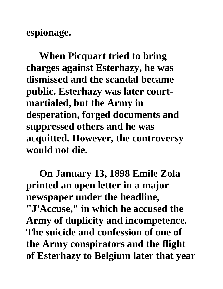**espionage.** 

**When Picquart tried to bring charges against Esterhazy, he was dismissed and the scandal became public. Esterhazy was later courtmartialed, but the Army in desperation, forged documents and suppressed others and he was acquitted. However, the controversy would not die.**

**On January 13, 1898 Emile Zola printed an open letter in a major newspaper under the headline, "J'Accuse," in which he accused the Army of duplicity and incompetence. The suicide and confession of one of the Army conspirators and the flight of Esterhazy to Belgium later that year**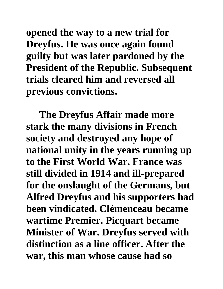**opened the way to a new trial for Dreyfus. He was once again found guilty but was later pardoned by the President of the Republic. Subsequent trials cleared him and reversed all previous convictions.** 

**The Dreyfus Affair made more stark the many divisions in French society and destroyed any hope of national unity in the years running up to the First World War. France was still divided in 1914 and ill-prepared for the onslaught of the Germans, but Alfred Dreyfus and his supporters had been vindicated. Clémenceau became wartime Premier. Picquart became Minister of War. Dreyfus served with distinction as a line officer. After the war, this man whose cause had so**